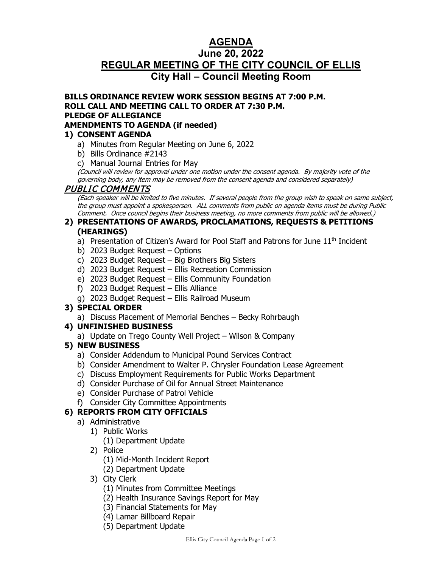# **AGENDA**

# **June 20, 2022 REGULAR MEETING OF THE CITY COUNCIL OF ELLIS City Hall – Council Meeting Room**

#### **BILLS ORDINANCE REVIEW WORK SESSION BEGINS AT 7:00 P.M. ROLL CALL AND MEETING CALL TO ORDER AT 7:30 P.M. PLEDGE OF ALLEGIANCE AMENDMENTS TO AGENDA (if needed)**

## **1) CONSENT AGENDA**

- a) Minutes from Regular Meeting on June 6, 2022
- b) Bills Ordinance #2143
- c) Manual Journal Entries for May

(Council will review for approval under one motion under the consent agenda. By majority vote of the governing body, any item may be removed from the consent agenda and considered separately)

PUBLIC COMMENTS (Each speaker will be limited to five minutes. If several people from the group wish to speak on same subject, the group must appoint a spokesperson. ALL comments from public on agenda items must be during Public Comment. Once council begins their business meeting, no more comments from public will be allowed.)

#### **2) PRESENTATIONS OF AWARDS, PROCLAMATIONS, REQUESTS & PETITIONS (HEARINGS)**

- a) Presentation of Citizen's Award for Pool Staff and Patrons for June 11<sup>th</sup> Incident
- b) 2023 Budget Request Options
- c) 2023 Budget Request Big Brothers Big Sisters
- d) 2023 Budget Request Ellis Recreation Commission
- e) 2023 Budget Request Ellis Community Foundation
- f) 2023 Budget Request Ellis Alliance
- g) 2023 Budget Request Ellis Railroad Museum

## **3) SPECIAL ORDER**

a) Discuss Placement of Memorial Benches – Becky Rohrbaugh

## **4) UNFINISHED BUSINESS**

a) Update on Trego County Well Project – Wilson & Company

## **5) NEW BUSINESS**

- a) Consider Addendum to Municipal Pound Services Contract
- b) Consider Amendment to Walter P. Chrysler Foundation Lease Agreement
- c) Discuss Employment Requirements for Public Works Department
- d) Consider Purchase of Oil for Annual Street Maintenance
- e) Consider Purchase of Patrol Vehicle
- f) Consider City Committee Appointments

## **6) REPORTS FROM CITY OFFICIALS**

- a) Administrative
	- 1) Public Works
		- (1) Department Update
	- 2) Police
		- (1) Mid-Month Incident Report
		- (2) Department Update
	- 3) City Clerk
		- (1) Minutes from Committee Meetings
		- (2) Health Insurance Savings Report for May
		- (3) Financial Statements for May
		- (4) Lamar Billboard Repair
		- (5) Department Update